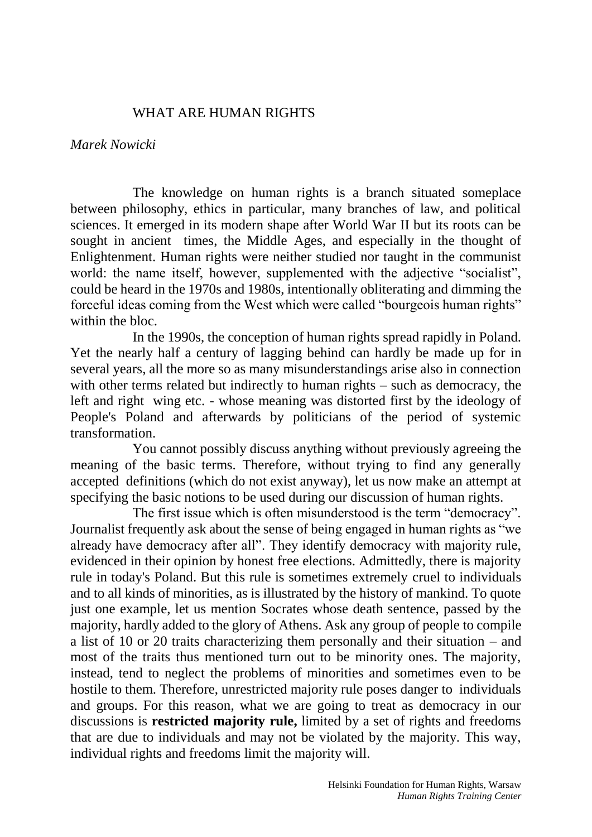## WHAT ARE HUMAN RIGHTS

## *Marek Nowicki*

The knowledge on human rights is a branch situated someplace between philosophy, ethics in particular, many branches of law, and political sciences. It emerged in its modern shape after World War II but its roots can be sought in ancient times, the Middle Ages, and especially in the thought of Enlightenment. Human rights were neither studied nor taught in the communist world: the name itself, however, supplemented with the adjective "socialist", could be heard in the 1970s and 1980s, intentionally obliterating and dimming the forceful ideas coming from the West which were called "bourgeois human rights" within the bloc.

In the 1990s, the conception of human rights spread rapidly in Poland. Yet the nearly half a century of lagging behind can hardly be made up for in several years, all the more so as many misunderstandings arise also in connection with other terms related but indirectly to human rights – such as democracy, the left and right wing etc. - whose meaning was distorted first by the ideology of People's Poland and afterwards by politicians of the period of systemic transformation.

You cannot possibly discuss anything without previously agreeing the meaning of the basic terms. Therefore, without trying to find any generally accepted definitions (which do not exist anyway), let us now make an attempt at specifying the basic notions to be used during our discussion of human rights.

The first issue which is often misunderstood is the term "democracy". Journalist frequently ask about the sense of being engaged in human rights as "we already have democracy after all". They identify democracy with majority rule, evidenced in their opinion by honest free elections. Admittedly, there is majority rule in today's Poland. But this rule is sometimes extremely cruel to individuals and to all kinds of minorities, as is illustrated by the history of mankind. To quote just one example, let us mention Socrates whose death sentence, passed by the majority, hardly added to the glory of Athens. Ask any group of people to compile a list of 10 or 20 traits characterizing them personally and their situation – and most of the traits thus mentioned turn out to be minority ones. The majority, instead, tend to neglect the problems of minorities and sometimes even to be hostile to them. Therefore, unrestricted majority rule poses danger to individuals and groups. For this reason, what we are going to treat as democracy in our discussions is **restricted majority rule,** limited by a set of rights and freedoms that are due to individuals and may not be violated by the majority. This way, individual rights and freedoms limit the majority will.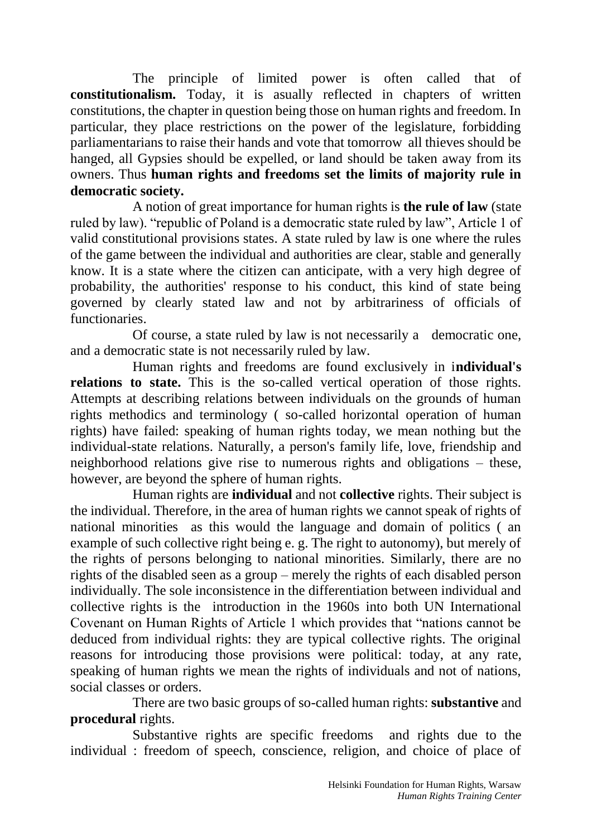The principle of limited power is often called that of **constitutionalism.** Today, it is asually reflected in chapters of written constitutions, the chapter in question being those on human rights and freedom. In particular, they place restrictions on the power of the legislature, forbidding parliamentarians to raise their hands and vote that tomorrow all thieves should be hanged, all Gypsies should be expelled, or land should be taken away from its owners. Thus **human rights and freedoms set the limits of majority rule in democratic society.** 

A notion of great importance for human rights is **the rule of law** (state ruled by law). "republic of Poland is a democratic state ruled by law", Article 1 of valid constitutional provisions states. A state ruled by law is one where the rules of the game between the individual and authorities are clear, stable and generally know. It is a state where the citizen can anticipate, with a very high degree of probability, the authorities' response to his conduct, this kind of state being governed by clearly stated law and not by arbitrariness of officials of functionaries.

Of course, a state ruled by law is not necessarily a democratic one, and a democratic state is not necessarily ruled by law.

Human rights and freedoms are found exclusively in i**ndividual's relations to state.** This is the so-called vertical operation of those rights. Attempts at describing relations between individuals on the grounds of human rights methodics and terminology ( so-called horizontal operation of human rights) have failed: speaking of human rights today, we mean nothing but the individual-state relations. Naturally, a person's family life, love, friendship and neighborhood relations give rise to numerous rights and obligations – these, however, are beyond the sphere of human rights.

Human rights are **individual** and not **collective** rights. Their subject is the individual. Therefore, in the area of human rights we cannot speak of rights of national minorities as this would the language and domain of politics ( an example of such collective right being e. g. The right to autonomy), but merely of the rights of persons belonging to national minorities. Similarly, there are no rights of the disabled seen as a group – merely the rights of each disabled person individually. The sole inconsistence in the differentiation between individual and collective rights is the introduction in the 1960s into both UN International Covenant on Human Rights of Article 1 which provides that "nations cannot be deduced from individual rights: they are typical collective rights. The original reasons for introducing those provisions were political: today, at any rate, speaking of human rights we mean the rights of individuals and not of nations, social classes or orders.

There are two basic groups of so-called human rights: **substantive** and **procedural** rights.

Substantive rights are specific freedoms and rights due to the individual : freedom of speech, conscience, religion, and choice of place of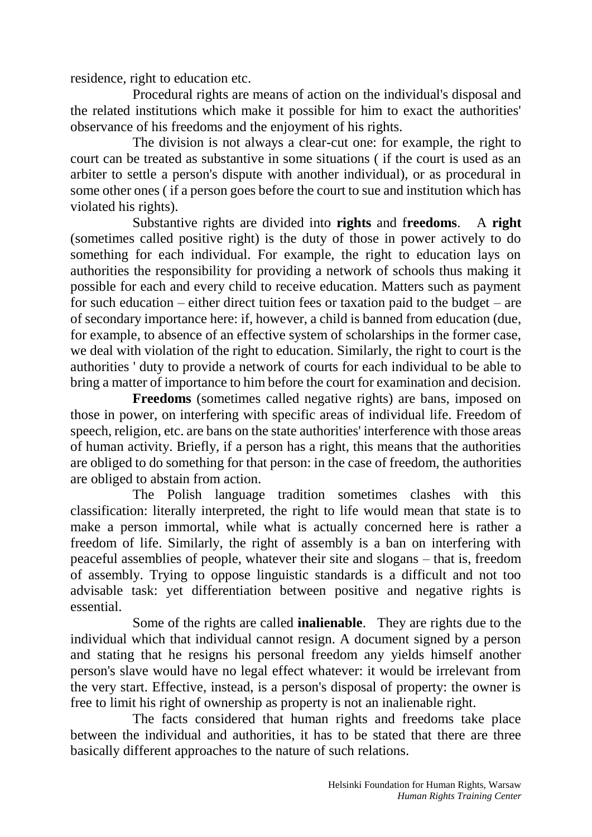residence, right to education etc.

Procedural rights are means of action on the individual's disposal and the related institutions which make it possible for him to exact the authorities' observance of his freedoms and the enjoyment of his rights.

The division is not always a clear-cut one: for example, the right to court can be treated as substantive in some situations ( if the court is used as an arbiter to settle a person's dispute with another individual), or as procedural in some other ones ( if a person goes before the court to sue and institution which has violated his rights).

Substantive rights are divided into **rights** and f**reedoms**. A **right** (sometimes called positive right) is the duty of those in power actively to do something for each individual. For example, the right to education lays on authorities the responsibility for providing a network of schools thus making it possible for each and every child to receive education. Matters such as payment for such education – either direct tuition fees or taxation paid to the budget – are of secondary importance here: if, however, a child is banned from education (due, for example, to absence of an effective system of scholarships in the former case, we deal with violation of the right to education. Similarly, the right to court is the authorities ' duty to provide a network of courts for each individual to be able to bring a matter of importance to him before the court for examination and decision.

**Freedoms** (sometimes called negative rights) are bans, imposed on those in power, on interfering with specific areas of individual life. Freedom of speech, religion, etc. are bans on the state authorities' interference with those areas of human activity. Briefly, if a person has a right, this means that the authorities are obliged to do something for that person: in the case of freedom, the authorities are obliged to abstain from action.

The Polish language tradition sometimes clashes with this classification: literally interpreted, the right to life would mean that state is to make a person immortal, while what is actually concerned here is rather a freedom of life. Similarly, the right of assembly is a ban on interfering with peaceful assemblies of people, whatever their site and slogans – that is, freedom of assembly. Trying to oppose linguistic standards is a difficult and not too advisable task: yet differentiation between positive and negative rights is essential.

Some of the rights are called **inalienable**. They are rights due to the individual which that individual cannot resign. A document signed by a person and stating that he resigns his personal freedom any yields himself another person's slave would have no legal effect whatever: it would be irrelevant from the very start. Effective, instead, is a person's disposal of property: the owner is free to limit his right of ownership as property is not an inalienable right.

The facts considered that human rights and freedoms take place between the individual and authorities, it has to be stated that there are three basically different approaches to the nature of such relations.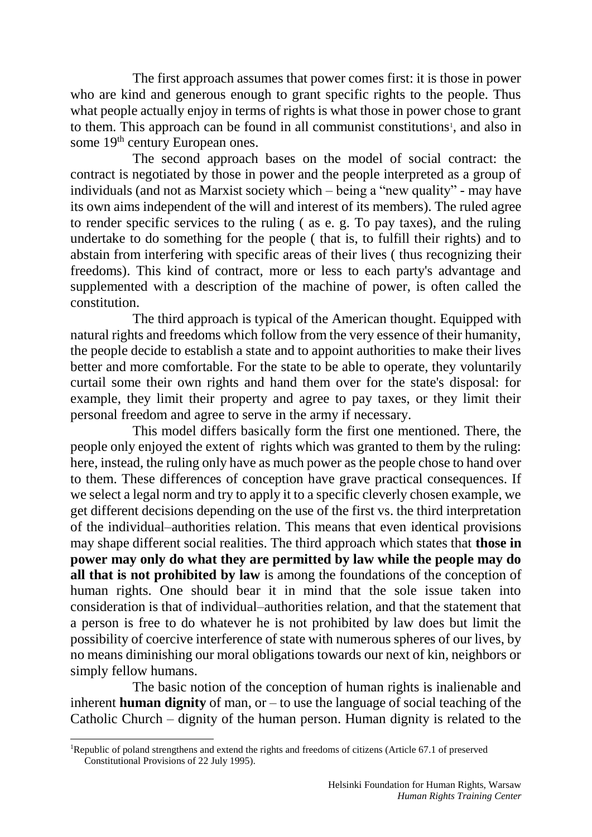The first approach assumes that power comes first: it is those in power who are kind and generous enough to grant specific rights to the people. Thus what people actually enjoy in terms of rights is what those in power chose to grant to them. This approach can be found in all communist constitutions<sup>1</sup>, and also in some 19<sup>th</sup> century European ones.

The second approach bases on the model of social contract: the contract is negotiated by those in power and the people interpreted as a group of individuals (and not as Marxist society which – being a "new quality" - may have its own aims independent of the will and interest of its members). The ruled agree to render specific services to the ruling ( as e. g. To pay taxes), and the ruling undertake to do something for the people ( that is, to fulfill their rights) and to abstain from interfering with specific areas of their lives ( thus recognizing their freedoms). This kind of contract, more or less to each party's advantage and supplemented with a description of the machine of power, is often called the constitution.

The third approach is typical of the American thought. Equipped with natural rights and freedoms which follow from the very essence of their humanity, the people decide to establish a state and to appoint authorities to make their lives better and more comfortable. For the state to be able to operate, they voluntarily curtail some their own rights and hand them over for the state's disposal: for example, they limit their property and agree to pay taxes, or they limit their personal freedom and agree to serve in the army if necessary.

This model differs basically form the first one mentioned. There, the people only enjoyed the extent of rights which was granted to them by the ruling: here, instead, the ruling only have as much power as the people chose to hand over to them. These differences of conception have grave practical consequences. If we select a legal norm and try to apply it to a specific cleverly chosen example, we get different decisions depending on the use of the first vs. the third interpretation of the individual–authorities relation. This means that even identical provisions may shape different social realities. The third approach which states that **those in power may only do what they are permitted by law while the people may do all that is not prohibited by law** is among the foundations of the conception of human rights. One should bear it in mind that the sole issue taken into consideration is that of individual–authorities relation, and that the statement that a person is free to do whatever he is not prohibited by law does but limit the possibility of coercive interference of state with numerous spheres of our lives, by no means diminishing our moral obligations towards our next of kin, neighbors or simply fellow humans.

The basic notion of the conception of human rights is inalienable and inherent **human dignity** of man, or – to use the language of social teaching of the Catholic Church – dignity of the human person. Human dignity is related to the

 $\overline{a}$ 

<sup>&</sup>lt;sup>1</sup>Republic of poland strengthens and extend the rights and freedoms of citizens (Article 67.1 of preserved Constitutional Provisions of 22 July 1995).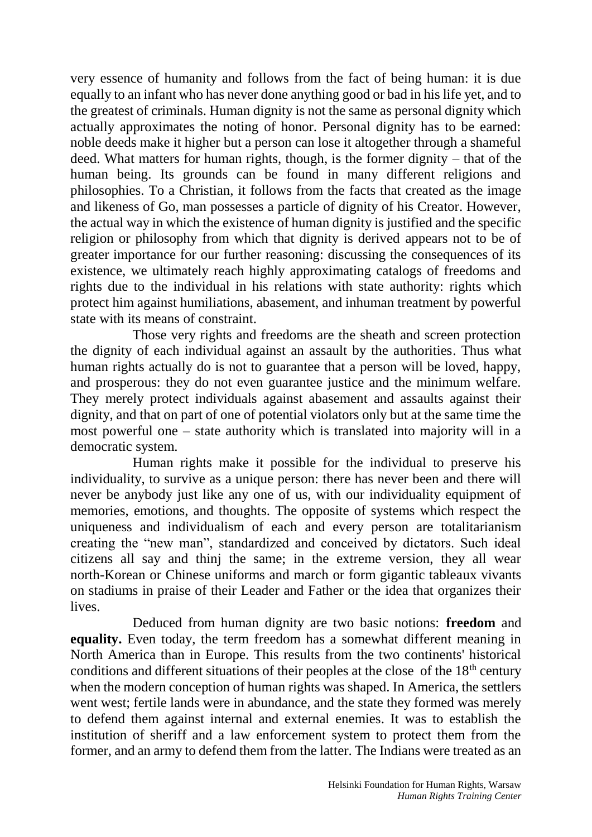very essence of humanity and follows from the fact of being human: it is due equally to an infant who has never done anything good or bad in his life yet, and to the greatest of criminals. Human dignity is not the same as personal dignity which actually approximates the noting of honor. Personal dignity has to be earned: noble deeds make it higher but a person can lose it altogether through a shameful deed. What matters for human rights, though, is the former dignity – that of the human being. Its grounds can be found in many different religions and philosophies. To a Christian, it follows from the facts that created as the image and likeness of Go, man possesses a particle of dignity of his Creator. However, the actual way in which the existence of human dignity is justified and the specific religion or philosophy from which that dignity is derived appears not to be of greater importance for our further reasoning: discussing the consequences of its existence, we ultimately reach highly approximating catalogs of freedoms and rights due to the individual in his relations with state authority: rights which protect him against humiliations, abasement, and inhuman treatment by powerful state with its means of constraint.

Those very rights and freedoms are the sheath and screen protection the dignity of each individual against an assault by the authorities. Thus what human rights actually do is not to guarantee that a person will be loved, happy, and prosperous: they do not even guarantee justice and the minimum welfare. They merely protect individuals against abasement and assaults against their dignity, and that on part of one of potential violators only but at the same time the most powerful one – state authority which is translated into majority will in a democratic system.

Human rights make it possible for the individual to preserve his individuality, to survive as a unique person: there has never been and there will never be anybody just like any one of us, with our individuality equipment of memories, emotions, and thoughts. The opposite of systems which respect the uniqueness and individualism of each and every person are totalitarianism creating the "new man", standardized and conceived by dictators. Such ideal citizens all say and thinj the same; in the extreme version, they all wear north-Korean or Chinese uniforms and march or form gigantic tableaux vivants on stadiums in praise of their Leader and Father or the idea that organizes their lives.

Deduced from human dignity are two basic notions: **freedom** and **equality.** Even today, the term freedom has a somewhat different meaning in North America than in Europe. This results from the two continents' historical conditions and different situations of their peoples at the close of the  $18<sup>th</sup>$  century when the modern conception of human rights was shaped. In America, the settlers went west; fertile lands were in abundance, and the state they formed was merely to defend them against internal and external enemies. It was to establish the institution of sheriff and a law enforcement system to protect them from the former, and an army to defend them from the latter. The Indians were treated as an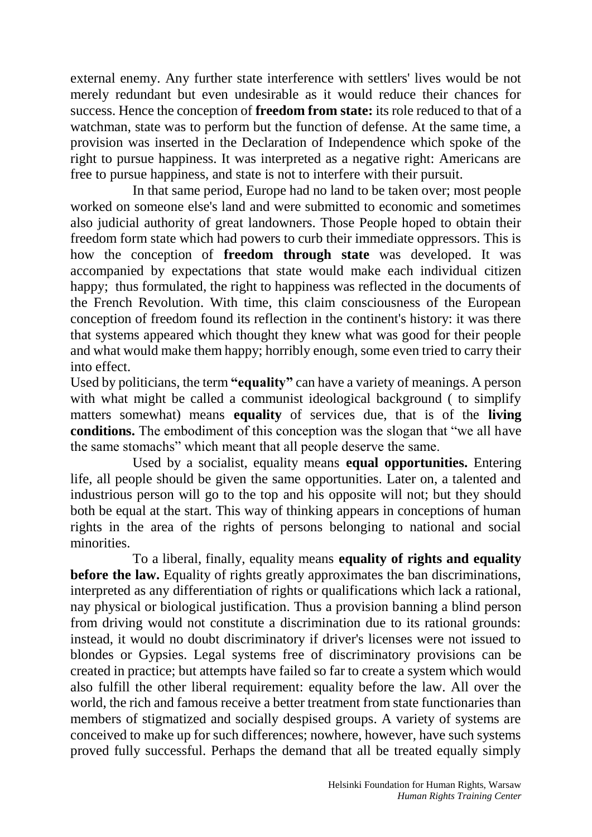external enemy. Any further state interference with settlers' lives would be not merely redundant but even undesirable as it would reduce their chances for success. Hence the conception of **freedom from state:** its role reduced to that of a watchman, state was to perform but the function of defense. At the same time, a provision was inserted in the Declaration of Independence which spoke of the right to pursue happiness. It was interpreted as a negative right: Americans are free to pursue happiness, and state is not to interfere with their pursuit.

In that same period, Europe had no land to be taken over; most people worked on someone else's land and were submitted to economic and sometimes also judicial authority of great landowners. Those People hoped to obtain their freedom form state which had powers to curb their immediate oppressors. This is how the conception of **freedom through state** was developed. It was accompanied by expectations that state would make each individual citizen happy; thus formulated, the right to happiness was reflected in the documents of the French Revolution. With time, this claim consciousness of the European conception of freedom found its reflection in the continent's history: it was there that systems appeared which thought they knew what was good for their people and what would make them happy; horribly enough, some even tried to carry their into effect.

Used by politicians, the term **"equality"** can have a variety of meanings. A person with what might be called a communist ideological background ( to simplify matters somewhat) means **equality** of services due, that is of the **living conditions.** The embodiment of this conception was the slogan that "we all have the same stomachs" which meant that all people deserve the same.

Used by a socialist, equality means **equal opportunities.** Entering life, all people should be given the same opportunities. Later on, a talented and industrious person will go to the top and his opposite will not; but they should both be equal at the start. This way of thinking appears in conceptions of human rights in the area of the rights of persons belonging to national and social minorities.

To a liberal, finally, equality means **equality of rights and equality before the law.** Equality of rights greatly approximates the ban discriminations, interpreted as any differentiation of rights or qualifications which lack a rational, nay physical or biological justification. Thus a provision banning a blind person from driving would not constitute a discrimination due to its rational grounds: instead, it would no doubt discriminatory if driver's licenses were not issued to blondes or Gypsies. Legal systems free of discriminatory provisions can be created in practice; but attempts have failed so far to create a system which would also fulfill the other liberal requirement: equality before the law. All over the world, the rich and famous receive a better treatment from state functionaries than members of stigmatized and socially despised groups. A variety of systems are conceived to make up for such differences; nowhere, however, have such systems proved fully successful. Perhaps the demand that all be treated equally simply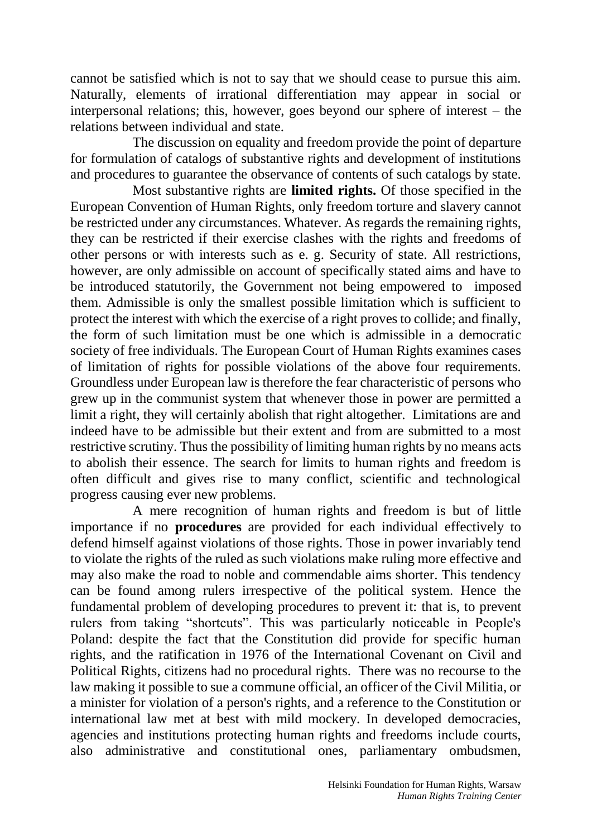cannot be satisfied which is not to say that we should cease to pursue this aim. Naturally, elements of irrational differentiation may appear in social or interpersonal relations; this, however, goes beyond our sphere of interest – the relations between individual and state.

The discussion on equality and freedom provide the point of departure for formulation of catalogs of substantive rights and development of institutions and procedures to guarantee the observance of contents of such catalogs by state.

Most substantive rights are **limited rights.** Of those specified in the European Convention of Human Rights, only freedom torture and slavery cannot be restricted under any circumstances. Whatever. As regards the remaining rights, they can be restricted if their exercise clashes with the rights and freedoms of other persons or with interests such as e. g. Security of state. All restrictions, however, are only admissible on account of specifically stated aims and have to be introduced statutorily, the Government not being empowered to imposed them. Admissible is only the smallest possible limitation which is sufficient to protect the interest with which the exercise of a right proves to collide; and finally, the form of such limitation must be one which is admissible in a democratic society of free individuals. The European Court of Human Rights examines cases of limitation of rights for possible violations of the above four requirements. Groundless under European law is therefore the fear characteristic of persons who grew up in the communist system that whenever those in power are permitted a limit a right, they will certainly abolish that right altogether. Limitations are and indeed have to be admissible but their extent and from are submitted to a most restrictive scrutiny. Thus the possibility of limiting human rights by no means acts to abolish their essence. The search for limits to human rights and freedom is often difficult and gives rise to many conflict, scientific and technological progress causing ever new problems.

A mere recognition of human rights and freedom is but of little importance if no **procedures** are provided for each individual effectively to defend himself against violations of those rights. Those in power invariably tend to violate the rights of the ruled as such violations make ruling more effective and may also make the road to noble and commendable aims shorter. This tendency can be found among rulers irrespective of the political system. Hence the fundamental problem of developing procedures to prevent it: that is, to prevent rulers from taking "shortcuts". This was particularly noticeable in People's Poland: despite the fact that the Constitution did provide for specific human rights, and the ratification in 1976 of the International Covenant on Civil and Political Rights, citizens had no procedural rights. There was no recourse to the law making it possible to sue a commune official, an officer of the Civil Militia, or a minister for violation of a person's rights, and a reference to the Constitution or international law met at best with mild mockery. In developed democracies, agencies and institutions protecting human rights and freedoms include courts, also administrative and constitutional ones, parliamentary ombudsmen,